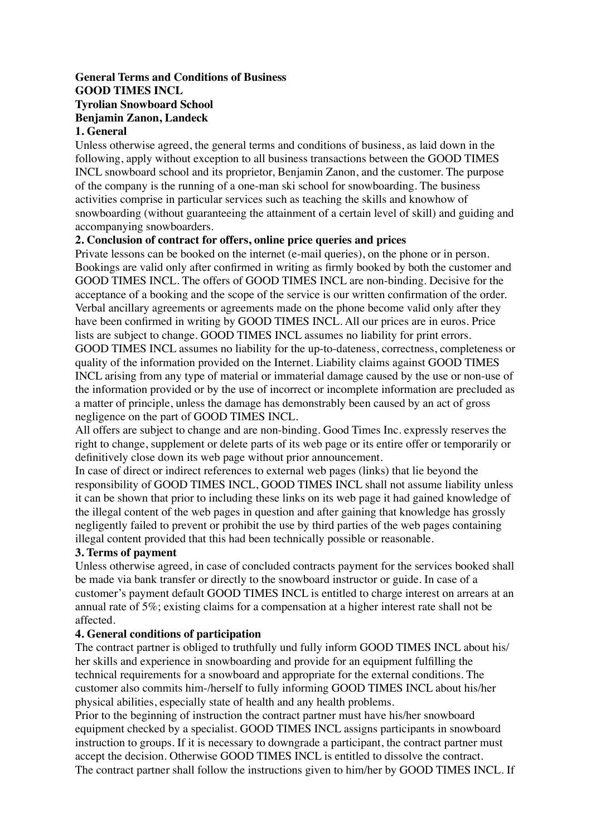# **General Terms and Conditions of Business GOOD TIMES INCL Tyrolian Snowboard School Benjamin Zanon, Landeck**

#### **1. General**

Unless otherwise agreed, the general terms and conditions of business, as laid down in the following, apply without exception to all business transactions between the GOOD TIMES INCL snowboard school and its proprietor, Benjamin Zanon, and the customer. The purpose of the company is the running of a one-man ski school for snowboarding. The business activities comprise in particular services such as teaching the skills and knowhow of snowboarding (without guaranteeing the attainment of a certain level of skill) and guiding and accompanying snowboarders.

#### **2. Conclusion of contract for offers, online price queries and prices**

Private lessons can be booked on the internet (e-mail queries), on the phone or in person. Bookings are valid only after confirmed in writing as firmly booked by both the customer and GOOD TIMES INCL. The offers of GOOD TIMES INCL are non-binding. Decisive for the acceptance of a booking and the scope of the service is our written confirmation of the order. Verbal ancillary agreements or agreements made on the phone become valid only after they have been confirmed in writing by GOOD TIMES INCL. All our prices are in euros. Price lists are subject to change. GOOD TIMES INCL assumes no liability for print errors. GOOD TIMES INCL assumes no liability for the up-to-dateness, correctness, completeness or quality of the information provided on the Internet. Liability claims against GOOD TIMES INCL arising from any type of material or immaterial damage caused by the use or non-use of the information provided or by the use of incorrect or incomplete information are precluded as a matter of principle, unless the damage has demonstrably been caused by an act of gross negligence on the part of GOOD TIMES INCL.

All offers are subject to change and are non-binding. Good Times Inc. expressly reserves the right to change, supplement or delete parts of its web page or its entire offer or temporarily or definitively close down its web page without prior announcement.

In case of direct or indirect references to external web pages (links) that lie beyond the responsibility of GOOD TIMES INCL, GOOD TIMES INCL shall not assume liability unless it can be shown that prior to including these links on its web page it had gained knowledge of the illegal content of the web pages in question and after gaining that knowledge has grossly negligently failed to prevent or prohibit the use by third parties of the web pages containing illegal content provided that this had been technically possible or reasonable.

#### **3. Terms of payment**

Unless otherwise agreed, in case of concluded contracts payment for the services booked shall be made via bank transfer or directly to the snowboard instructor or guide. In case of a customer's payment default GOOD TIMES INCL is entitled to charge interest on arrears at an annual rate of 5%; existing claims for a compensation at a higher interest rate shall not be affected.

#### **4. General conditions of participation**

The contract partner is obliged to truthfully und fully inform GOOD TIMES INCL about his/ her skills and experience in snowboarding and provide for an equipment fulfilling the technical requirements for a snowboard and appropriate for the external conditions. The customer also commits him-/herself to fully informing GOOD TIMES INCL about his/her physical abilities, especially state of health and any health problems.

Prior to the beginning of instruction the contract partner must have his/her snowboard equipment checked by a specialist. GOOD TIMES INCL assigns participants in snowboard instruction to groups. If it is necessary to downgrade a participant, the contract partner must accept the decision. Otherwise GOOD TIMES INCL is entitled to dissolve the contract. The contract partner shall follow the instructions given to him/her by GOOD TIMES INCL. If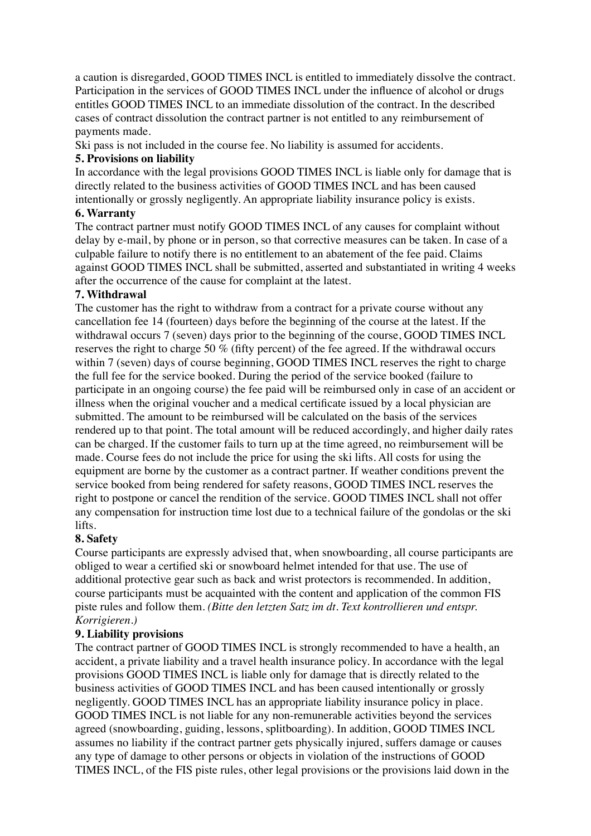a caution is disregarded, GOOD TIMES INCL is entitled to immediately dissolve the contract. Participation in the services of GOOD TIMES INCL under the influence of alcohol or drugs entitles GOOD TIMES INCL to an immediate dissolution of the contract. In the described cases of contract dissolution the contract partner is not entitled to any reimbursement of payments made.

Ski pass is not included in the course fee. No liability is assumed for accidents.

# **5. Provisions on liability**

In accordance with the legal provisions GOOD TIMES INCL is liable only for damage that is directly related to the business activities of GOOD TIMES INCL and has been caused intentionally or grossly negligently. An appropriate liability insurance policy is exists.

# **6. Warranty**

The contract partner must notify GOOD TIMES INCL of any causes for complaint without delay by e-mail, by phone or in person, so that corrective measures can be taken. In case of a culpable failure to notify there is no entitlement to an abatement of the fee paid. Claims against GOOD TIMES INCL shall be submitted, asserted and substantiated in writing 4 weeks after the occurrence of the cause for complaint at the latest.

#### **7. Withdrawal**

The customer has the right to withdraw from a contract for a private course without any cancellation fee 14 (fourteen) days before the beginning of the course at the latest. If the withdrawal occurs 7 (seven) days prior to the beginning of the course, GOOD TIMES INCL reserves the right to charge 50 % (fifty percent) of the fee agreed. If the withdrawal occurs within 7 (seven) days of course beginning, GOOD TIMES INCL reserves the right to charge the full fee for the service booked. During the period of the service booked (failure to participate in an ongoing course) the fee paid will be reimbursed only in case of an accident or illness when the original voucher and a medical certificate issued by a local physician are submitted. The amount to be reimbursed will be calculated on the basis of the services rendered up to that point. The total amount will be reduced accordingly, and higher daily rates can be charged. If the customer fails to turn up at the time agreed, no reimbursement will be made. Course fees do not include the price for using the ski lifts. All costs for using the equipment are borne by the customer as a contract partner. If weather conditions prevent the service booked from being rendered for safety reasons, GOOD TIMES INCL reserves the right to postpone or cancel the rendition of the service. GOOD TIMES INCL shall not offer any compensation for instruction time lost due to a technical failure of the gondolas or the ski lifts.

# **8. Safety**

Course participants are expressly advised that, when snowboarding, all course participants are obliged to wear a certified ski or snowboard helmet intended for that use. The use of additional protective gear such as back and wrist protectors is recommended. In addition, course participants must be acquainted with the content and application of the common FIS piste rules and follow them. *(Bitte den letzten Satz im dt. Text kontrollieren und entspr. Korrigieren.)*

# **9. Liability provisions**

The contract partner of GOOD TIMES INCL is strongly recommended to have a health, an accident, a private liability and a travel health insurance policy. In accordance with the legal provisions GOOD TIMES INCL is liable only for damage that is directly related to the business activities of GOOD TIMES INCL and has been caused intentionally or grossly negligently. GOOD TIMES INCL has an appropriate liability insurance policy in place. GOOD TIMES INCL is not liable for any non-remunerable activities beyond the services agreed (snowboarding, guiding, lessons, splitboarding). In addition, GOOD TIMES INCL assumes no liability if the contract partner gets physically injured, suffers damage or causes any type of damage to other persons or objects in violation of the instructions of GOOD TIMES INCL, of the FIS piste rules, other legal provisions or the provisions laid down in the